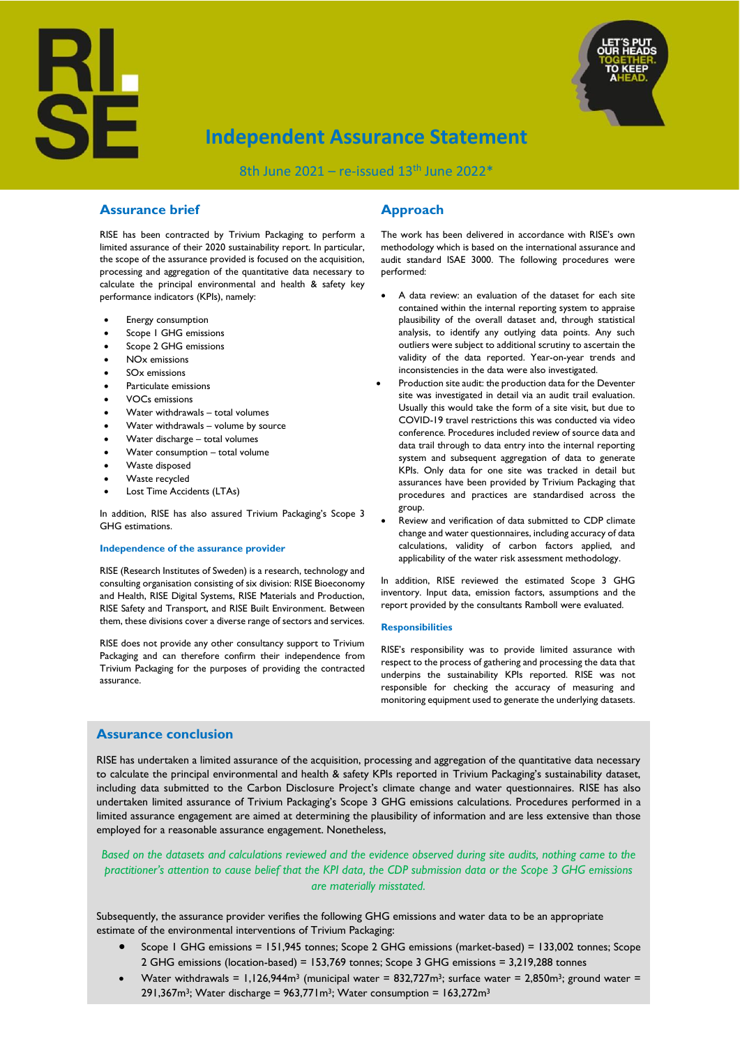



# **Independent Assurance Statement**

8th June 2021 – re-issued  $13<sup>th</sup>$  June 2022\*

## **Assurance brief**

RISE has been contracted by Trivium Packaging to perform a limited assurance of their 2020 sustainability report. In particular, the scope of the assurance provided is focused on the acquisition, processing and aggregation of the quantitative data necessary to calculate the principal environmental and health & safety key performance indicators (KPIs), namely:

- Energy consumption
- Scope 1 GHG emissions
- Scope 2 GHG emissions
- NOx emissions
- SOx emissions
- Particulate emissions
- VOCs emissions
- Water withdrawals total volumes
- Water withdrawals volume by source
- Water discharge total volumes
- Water consumption total volume
- Waste disposed
- Waste recycled
- Lost Time Accidents (LTAs)

In addition, RISE has also assured Trivium Packaging's Scope 3 GHG estimations.

#### **Independence of the assurance provider**

RISE (Research Institutes of Sweden) is a research, technology and consulting organisation consisting of six division: RISE Bioeconomy and Health, RISE Digital Systems, RISE Materials and Production, RISE Safety and Transport, and RISE Built Environment. Between them, these divisions cover a diverse range of sectors and services.

RISE does not provide any other consultancy support to Trivium Packaging and can therefore confirm their independence from Trivium Packaging for the purposes of providing the contracted assurance.

## **Approach**

The work has been delivered in accordance with RISE's own methodology which is based on the international assurance and audit standard ISAE 3000. The following procedures were performed:

- A data review: an evaluation of the dataset for each site contained within the internal reporting system to appraise plausibility of the overall dataset and, through statistical analysis, to identify any outlying data points. Any such outliers were subject to additional scrutiny to ascertain the validity of the data reported. Year-on-year trends and inconsistencies in the data were also investigated.
- Production site audit: the production data for the Deventer site was investigated in detail via an audit trail evaluation. Usually this would take the form of a site visit, but due to COVID-19 travel restrictions this was conducted via video conference. Procedures included review of source data and data trail through to data entry into the internal reporting system and subsequent aggregation of data to generate KPIs. Only data for one site was tracked in detail but assurances have been provided by Trivium Packaging that procedures and practices are standardised across the group.
- Review and verification of data submitted to CDP climate change and water questionnaires, including accuracy of data calculations, validity of carbon factors applied, and applicability of the water risk assessment methodology.

In addition, RISE reviewed the estimated Scope 3 GHG inventory. Input data, emission factors, assumptions and the report provided by the consultants Ramboll were evaluated.

#### **Responsibilities**

RISE's responsibility was to provide limited assurance with respect to the process of gathering and processing the data that underpins the sustainability KPIs reported. RISE was not responsible for checking the accuracy of measuring and monitoring equipment used to generate the underlying datasets.

### **Assurance conclusion**

RISE has undertaken a limited assurance of the acquisition, processing and aggregation of the quantitative data necessary to calculate the principal environmental and health & safety KPIs reported in Trivium Packaging's sustainability dataset, including data submitted to the Carbon Disclosure Project's climate change and water questionnaires. RISE has also undertaken limited assurance of Trivium Packaging's Scope 3 GHG emissions calculations. Procedures performed in a limited assurance engagement are aimed at determining the plausibility of information and are less extensive than those employed for a reasonable assurance engagement. Nonetheless,

*Based on the datasets and calculations reviewed and the evidence observed during site audits, nothing came to the practitioner's attention to cause belief that the KPI data, the CDP submission data or the Scope 3 GHG emissions are materially misstated.*

Subsequently, the assurance provider verifies the following GHG emissions and water data to be an appropriate estimate of the environmental interventions of Trivium Packaging:

- Scope 1 GHG emissions = 151,945 tonnes; Scope 2 GHG emissions (market-based) = 133,002 tonnes; Scope 2 GHG emissions (location-based) = 153,769 tonnes; Scope 3 GHG emissions = 3,219,288 tonnes
- Water withdrawals =  $1,126,944$ m<sup>3</sup> (municipal water = 832,727m<sup>3</sup>; surface water = 2,850m<sup>3</sup>; ground water = 291,367m<sup>3</sup>; Water discharge =  $963,771$  m<sup>3</sup>; Water consumption =  $163,272$  m<sup>3</sup>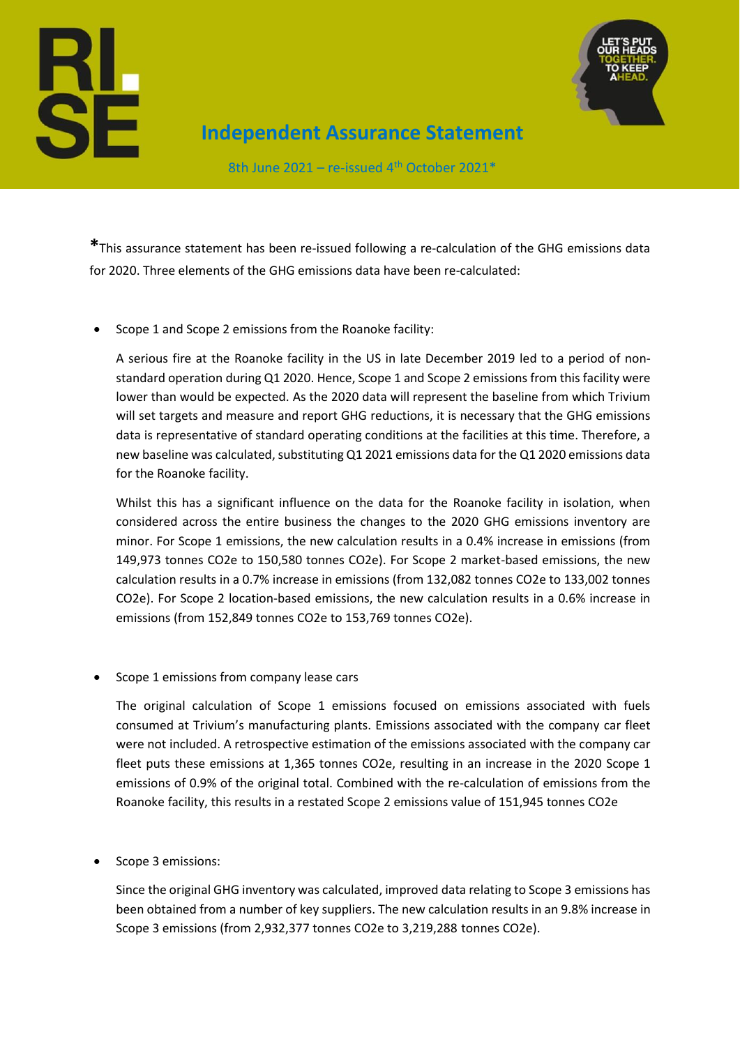



**Independent Assurance Statement**

8th June 2021 – re-issued  $4<sup>th</sup>$  October 2021\*

**\***This assurance statement has been re-issued following a re-calculation of the GHG emissions data for 2020. Three elements of the GHG emissions data have been re-calculated:

• Scope 1 and Scope 2 emissions from the Roanoke facility:

A serious fire at the Roanoke facility in the US in late December 2019 led to a period of nonstandard operation during Q1 2020. Hence, Scope 1 and Scope 2 emissions from this facility were lower than would be expected. As the 2020 data will represent the baseline from which Trivium will set targets and measure and report GHG reductions, it is necessary that the GHG emissions data is representative of standard operating conditions at the facilities at this time. Therefore, a new baseline was calculated, substituting Q1 2021 emissions data for the Q1 2020 emissions data for the Roanoke facility.

Whilst this has a significant influence on the data for the Roanoke facility in isolation, when considered across the entire business the changes to the 2020 GHG emissions inventory are minor. For Scope 1 emissions, the new calculation results in a 0.4% increase in emissions (from 149,973 tonnes CO2e to 150,580 tonnes CO2e). For Scope 2 market-based emissions, the new calculation results in a 0.7% increase in emissions (from 132,082 tonnes CO2e to 133,002 tonnes CO2e). For Scope 2 location-based emissions, the new calculation results in a 0.6% increase in emissions (from 152,849 tonnes CO2e to 153,769 tonnes CO2e).

Scope 1 emissions from company lease cars

The original calculation of Scope 1 emissions focused on emissions associated with fuels consumed at Trivium's manufacturing plants. Emissions associated with the company car fleet were not included. A retrospective estimation of the emissions associated with the company car fleet puts these emissions at 1,365 tonnes CO2e, resulting in an increase in the 2020 Scope 1 emissions of 0.9% of the original total. Combined with the re-calculation of emissions from the Roanoke facility, this results in a restated Scope 2 emissions value of 151,945 tonnes CO2e

• Scope 3 emissions:

Since the original GHG inventory was calculated, improved data relating to Scope 3 emissions has been obtained from a number of key suppliers. The new calculation results in an 9.8% increase in Scope 3 emissions (from 2,932,377 tonnes CO2e to 3,219,288 tonnes CO2e).